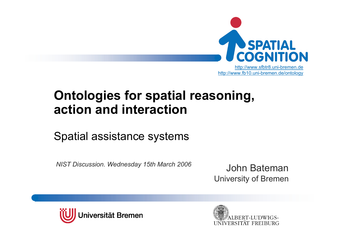

#### **Ontologies for spatial reasoning, action and interaction**

#### Spatial assistance systems

*NIST Discussion. Wednesday 15th March 2006*

John BatemanUniversity of Bremen



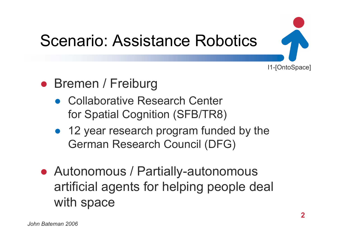

## Scenario: Assistance Robotics

#### ● Bremen / Freiburg

- Collaborative Research Center for Spatial Cognition (SFB/TR8)
- 12 year research program funded by the German Research Council (DFG)
- Autonomous / Partially-autonomous artificial agents for helping people deal with space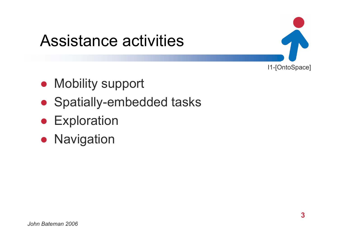#### Assistance activities

- Mobility support
- Spatially-embedded tasks
- **Exploration**
- **Navigation**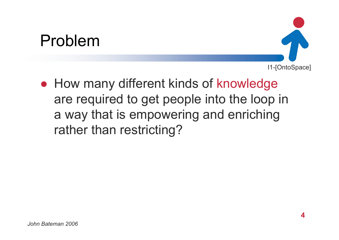#### Problem



● How many different kinds of knowledge are required to get people into the loop in a way that is empowering and enriching rather than restricting?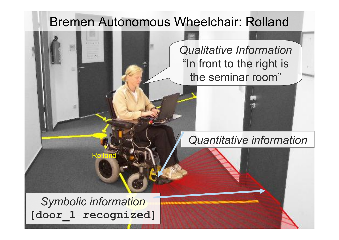#### Bremen Autonomous Wheelchair: Rolland

"In front to the right is  $\|\cdot\|$ *Qualitative Information* the seminar room"

#### *Quantitative information*

*Symbolic information* **[door\_1 recognized]**

: R

*John Bateman 2006*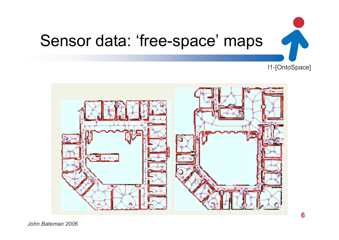

#### Sensor data: 'free-space' maps

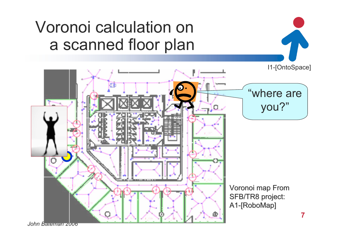#### Voronoi calculation on a scanned floor plan

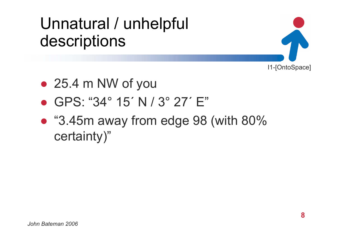#### Unnatural / unhelpful descriptions



- 25.4 m NW of you
- GPS: "34° 15´ N / 3° 27´ E"
- "3.45m away from edge 98 (with 80% certainty)"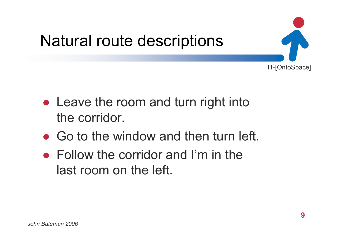

- Leave the room and turn right into the corridor.
- Go to the window and then turn left.
- $\bullet$  Follow the corridor and I'm in the last room on the left.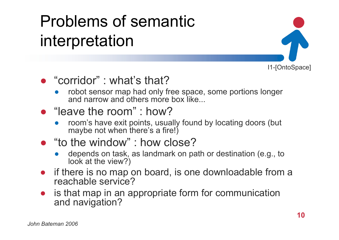## Problems of semantic interpretation



#### ● "corridor" : what's that?

● robot sensor map had only free space, some portions longer and narrow and others more box like...

#### ● "leave the room" : how?

- ● room's have exit points, usually found by locating doors (but maybe not when there's a fire!)
- "to the window" : how close?
	- ● depends on task, as landmark on path or destination (e.g., to look at the view?)
- if there is no map on board, is one downloadable from a reachable service?
- ● is that map in an appropriate form for communication and navigation?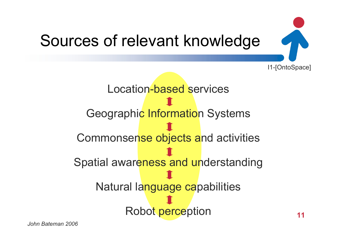

Location-based servicesGeographic Information Systems Commonsense objects and activities Spatial awareness and understanding Natural language capabilities Robot perception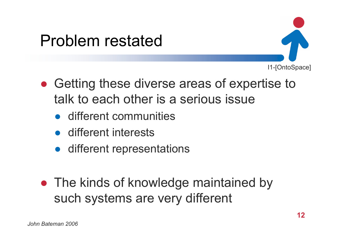#### Problem restated



- Getting these diverse areas of expertise to talk to each other is a serious issue
	- different communities
	- different interests
	- different representations
- The kinds of knowledge maintained by such systems are very different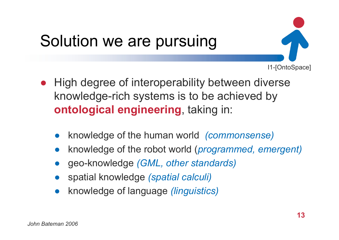## Solution we are pursuing

- I1-[OntoSpace]
- ● High degree of interoperability between diverse knowledge-rich systems is to be achieved by **ontological engineering**, taking in:
	- ●knowledge of the human world *(commonsense)*
	- ●knowledge of the robot world (*programmed, emergent)*
	- ●geo-knowledge *(GML, other standards)*
	- ●spatial knowledge *(spatial calculi)*
	- ●knowledge of language *(linguistics)*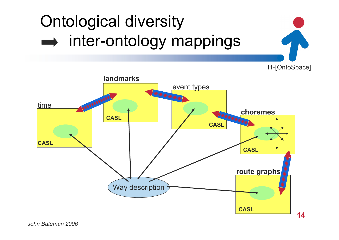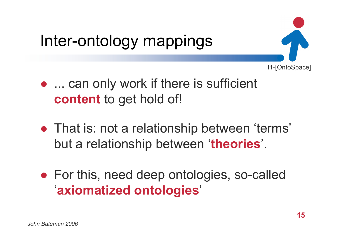## Inter-ontology mappings

- I1-[OntoSpace]
- ... can only work if there is sufficient **content** to get hold of!
- That is: not a relationship between 'terms' but a relationship between '**theories**'.
- For this, need deep ontologies, so-called '**axiomatized ontologies**'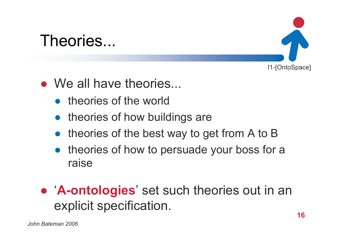#### Theories...



- We all have theories...
	- ●theories of the world
	- theories of how buildings are
	- theories of the best way to get from A to B
	- theories of how to persuade your boss for a raise

#### ● '**A-ontologies**' set such theories out in an explicit specification.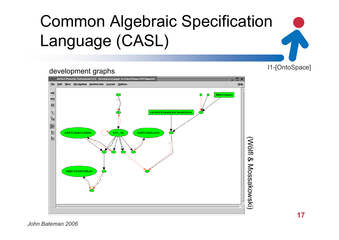## Common Algebraic Specification Language (CASL)

#### development graphs

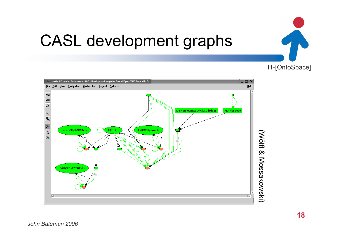

## CASL development graphs



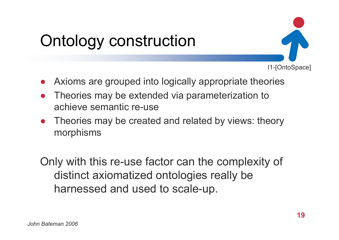## Ontology construction

- ●Axioms are grouped into logically appropriate theories
- ● Theories may be extended via parameterization to achieve semantic re-use
- ● Theories may be created and related by views: theory morphisms

Only with this re-use factor can the complexity of distinct axiomatized ontologies really be harnessed and used to scale-up.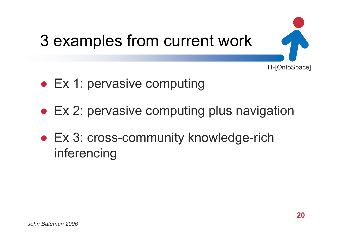

- Ex 1: pervasive computing
- Ex 2: pervasive computing plus navigation
- Ex 3: cross-community knowledge-rich inferencing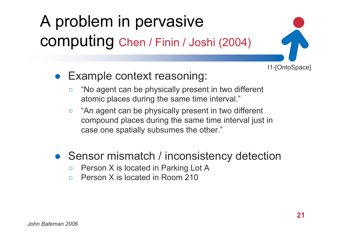## A problem in pervasive computing Chen / Finin / Joshi (2004)



- Example context reasoning:
	- $\bigcirc$  "No agent can be physically present in two different atomic places during the same time interval."
	- $\circ$  "An agent can be physically present in two different compound places during the same time interval just in case one spatially subsumes the other."
- Sensor mismatch / inconsistency detection
	- $\circ$ Person X is located in Parking Lot A
	- $\Omega$ Person X is located in Room 210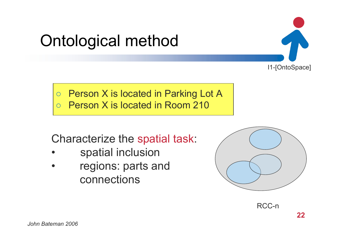## Ontological method

 $\overline{O}$  Person X is located in Parking Lot A  $\bigcirc$ Person X is located in Room 210

Characterize the spatial task:

- •spatial inclusion
- • regions: parts and connections





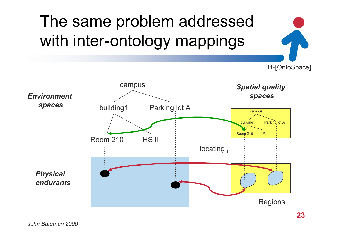#### I1-[OntoSpace] *Spatial quality spaces* campus building1 Parking lot A Room 210 HS II Regions The same problem addressed with inter-ontology mappings campus building1 Parking lot A Room 210 HS II *Environment spaces Physical endurants*locating  $<sub>t</sub>$ </sub>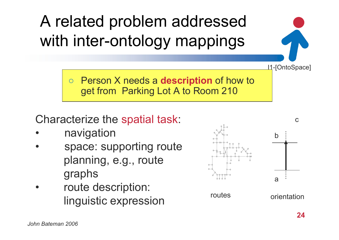A related problem addressed with inter-ontology mappings

> $\overline{O}$  Person X needs a **description** of how to get from Parking Lot A to Room 210

Characterize the spatial task:

- •navigation
- • space: supporting route planning, e.g., route graphs
- • route description: linguistic expression

orientation

I1-[OntoSpace]



routes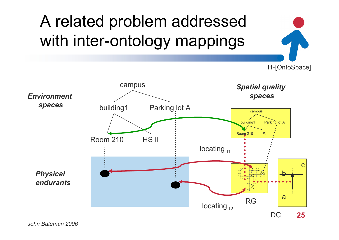# A related problem addressed with inter-ontology mappings

I1-[OntoSpace]



*John Bateman 2006*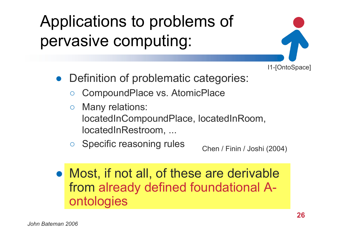### Applications to problems of pervasive computing:

- I1-[OntoSpace]
- Definition of problematic categories:
	- $\bigcirc$ CompoundPlace vs. AtomicPlace
	- $\overline{O}$  Many relations: locatedInCompoundPlace, locatedInRoom, locatedInRestroom, ...
	- $\bigcirc$ Specific reasoning rules

Chen / Finin / Joshi (2004)

● Most, if not all, of these are derivable from already defined foundational Aontologies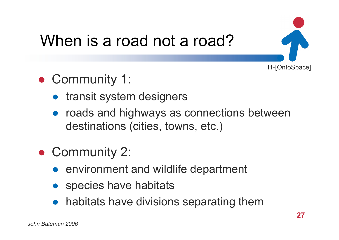

## When is a road not a road?

- Community 1:
	- transit system designers
	- roads and highways as connections between destinations (cities, towns, etc.)
- Community 2:
	- environment and wildlife department
	- ●species have habitats
	- habitats have divisions separating them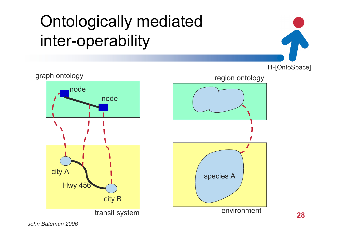## Ontologically mediated inter-operability



*John Bateman 2006*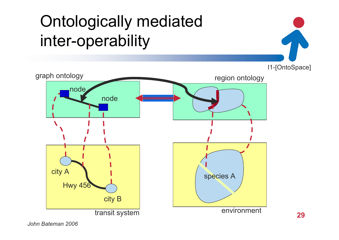## Ontologically mediated inter-operability



*John Bateman 2006*

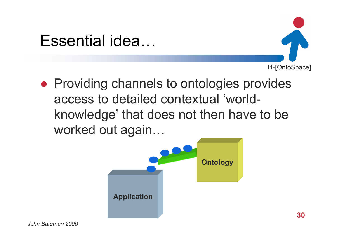#### Essential idea…



**• Providing channels to ontologies provides** access to detailed contextual 'worldknowledge' that does not then have to be worked out again…

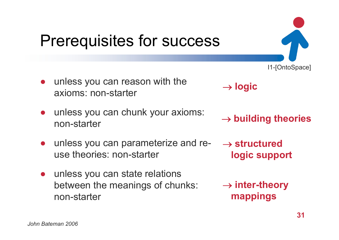### Prerequisites for success

- unless you can reason with the axioms: non-starter
- ● unless you can chunk your axioms: non-starter
- ● unless you can parameterize and reuse theories: non-starter
- ● unless you can state relations between the meanings of chunks: non-starter

→ **logic**

→ **building theories**

- → **structured logic support**
- → **inter-theory mappings**